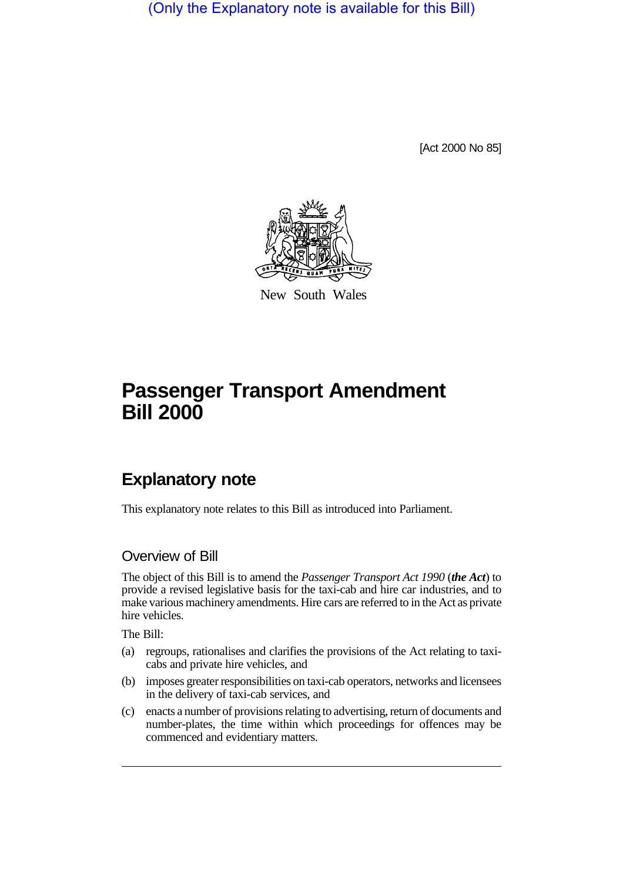(Only the Explanatory note is available for this Bill)

[Act 2000 No 85]



New South Wales

# **Passenger Transport Amendment Bill 2000**

## **Explanatory note**

This explanatory note relates to this Bill as introduced into Parliament.

### Overview of Bill

The object of this Bill is to amend the *Passenger Transport Act 1990* (*the Act*) to provide a revised legislative basis for the taxi-cab and hire car industries, and to make various machinery amendments. Hire cars are referred to in the Act as private hire vehicles.

The Bill:

- (a) regroups, rationalises and clarifies the provisions of the Act relating to taxicabs and private hire vehicles, and
- (b) imposes greater responsibilities on taxi-cab operators, networks and licensees in the delivery of taxi-cab services, and
- (c) enacts a number of provisions relating to advertising, return of documents and number-plates, the time within which proceedings for offences may be commenced and evidentiary matters.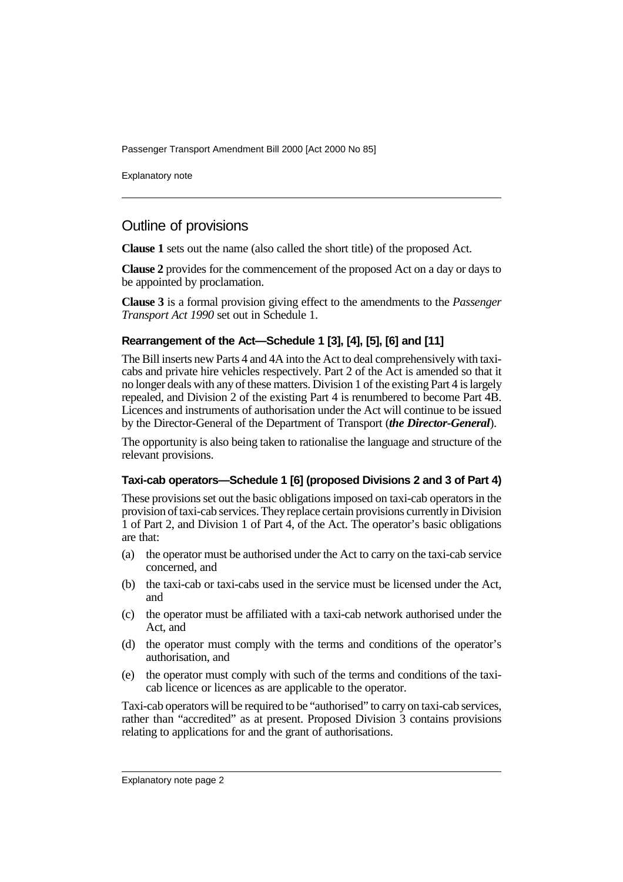Explanatory note

## Outline of provisions

**Clause 1** sets out the name (also called the short title) of the proposed Act.

**Clause 2** provides for the commencement of the proposed Act on a day or days to be appointed by proclamation.

**Clause 3** is a formal provision giving effect to the amendments to the *Passenger Transport Act 1990* set out in Schedule 1.

#### **Rearrangement of the Act—Schedule 1 [3], [4], [5], [6] and [11]**

The Bill inserts new Parts 4 and 4A into the Act to deal comprehensively with taxicabs and private hire vehicles respectively. Part 2 of the Act is amended so that it no longer deals with any of these matters. Division 1 of the existing Part 4 is largely repealed, and Division 2 of the existing Part 4 is renumbered to become Part 4B. Licences and instruments of authorisation under the Act will continue to be issued by the Director-General of the Department of Transport (*the Director-General*).

The opportunity is also being taken to rationalise the language and structure of the relevant provisions.

#### **Taxi-cab operators—Schedule 1 [6] (proposed Divisions 2 and 3 of Part 4)**

These provisions set out the basic obligations imposed on taxi-cab operators in the provision of taxi-cab services. They replace certain provisions currently in Division 1 of Part 2, and Division 1 of Part 4, of the Act. The operator's basic obligations are that:

- (a) the operator must be authorised under the Act to carry on the taxi-cab service concerned, and
- (b) the taxi-cab or taxi-cabs used in the service must be licensed under the Act, and
- (c) the operator must be affiliated with a taxi-cab network authorised under the Act, and
- (d) the operator must comply with the terms and conditions of the operator's authorisation, and
- (e) the operator must comply with such of the terms and conditions of the taxicab licence or licences as are applicable to the operator.

Taxi-cab operators will be required to be "authorised" to carry on taxi-cab services, rather than "accredited" as at present. Proposed Division 3 contains provisions relating to applications for and the grant of authorisations.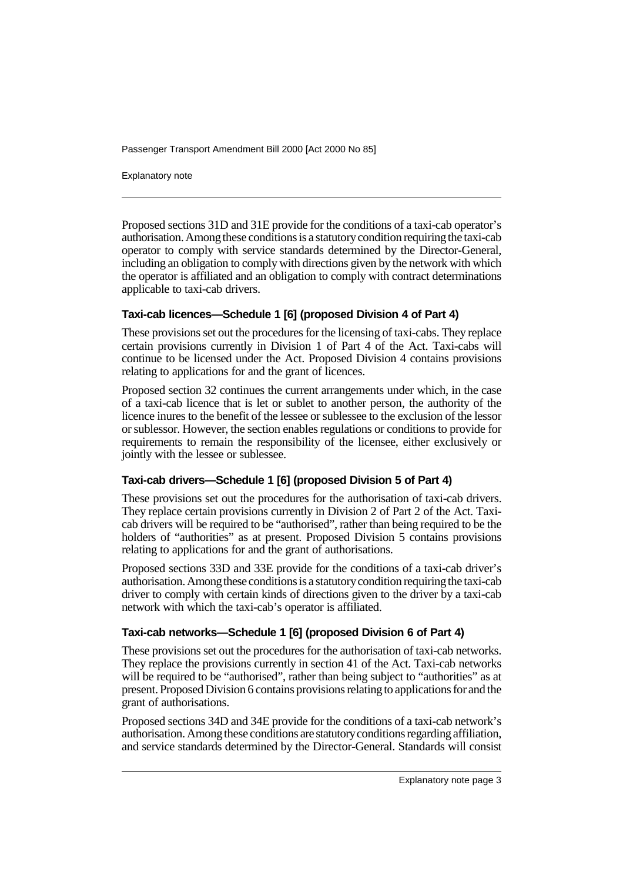Explanatory note

Proposed sections 31D and 31E provide for the conditions of a taxi-cab operator's authorisation. Among these conditions is a statutory condition requiring the taxi-cab operator to comply with service standards determined by the Director-General, including an obligation to comply with directions given by the network with which the operator is affiliated and an obligation to comply with contract determinations applicable to taxi-cab drivers.

#### **Taxi-cab licences—Schedule 1 [6] (proposed Division 4 of Part 4)**

These provisions set out the procedures for the licensing of taxi-cabs. They replace certain provisions currently in Division 1 of Part 4 of the Act. Taxi-cabs will continue to be licensed under the Act. Proposed Division 4 contains provisions relating to applications for and the grant of licences.

Proposed section 32 continues the current arrangements under which, in the case of a taxi-cab licence that is let or sublet to another person, the authority of the licence inures to the benefit of the lessee or sublessee to the exclusion of the lessor or sublessor. However, the section enables regulations or conditions to provide for requirements to remain the responsibility of the licensee, either exclusively or jointly with the lessee or sublessee.

#### **Taxi-cab drivers—Schedule 1 [6] (proposed Division 5 of Part 4)**

These provisions set out the procedures for the authorisation of taxi-cab drivers. They replace certain provisions currently in Division 2 of Part 2 of the Act. Taxicab drivers will be required to be "authorised", rather than being required to be the holders of "authorities" as at present. Proposed Division 5 contains provisions relating to applications for and the grant of authorisations.

Proposed sections 33D and 33E provide for the conditions of a taxi-cab driver's authorisation. Among these conditions is a statutory condition requiring the taxi-cab driver to comply with certain kinds of directions given to the driver by a taxi-cab network with which the taxi-cab's operator is affiliated.

#### **Taxi-cab networks—Schedule 1 [6] (proposed Division 6 of Part 4)**

These provisions set out the procedures for the authorisation of taxi-cab networks. They replace the provisions currently in section 41 of the Act. Taxi-cab networks will be required to be "authorised", rather than being subject to "authorities" as at present. Proposed Division 6 contains provisions relating to applications for and the grant of authorisations.

Proposed sections 34D and 34E provide for the conditions of a taxi-cab network's authorisation. Among these conditions are statutory conditions regarding affiliation, and service standards determined by the Director-General. Standards will consist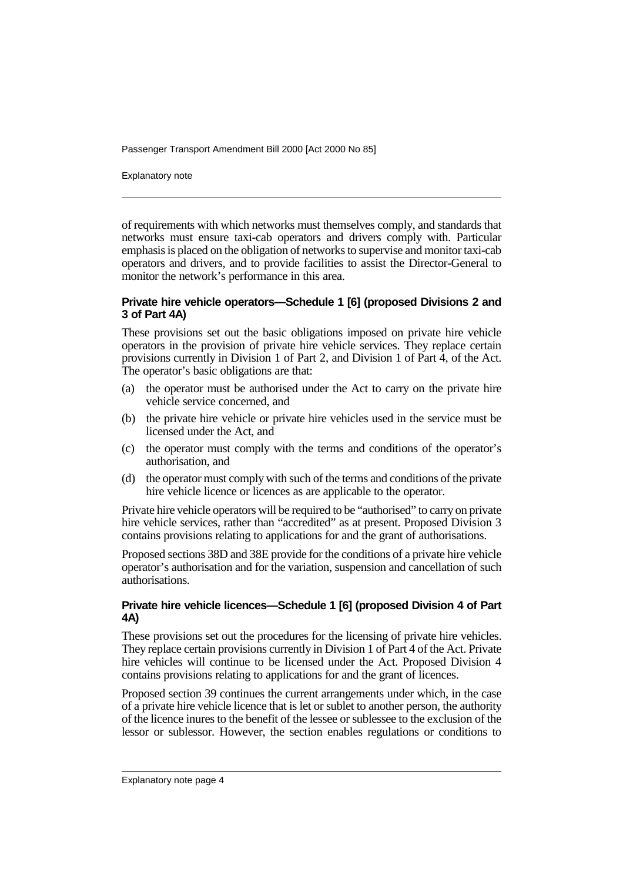Explanatory note

of requirements with which networks must themselves comply, and standards that networks must ensure taxi-cab operators and drivers comply with. Particular emphasis is placed on the obligation of networks to supervise and monitor taxi-cab operators and drivers, and to provide facilities to assist the Director-General to monitor the network's performance in this area.

#### **Private hire vehicle operators—Schedule 1 [6] (proposed Divisions 2 and 3 of Part 4A)**

These provisions set out the basic obligations imposed on private hire vehicle operators in the provision of private hire vehicle services. They replace certain provisions currently in Division 1 of Part 2, and Division 1 of Part 4, of the Act. The operator's basic obligations are that:

- (a) the operator must be authorised under the Act to carry on the private hire vehicle service concerned, and
- (b) the private hire vehicle or private hire vehicles used in the service must be licensed under the Act, and
- (c) the operator must comply with the terms and conditions of the operator's authorisation, and
- (d) the operator must comply with such of the terms and conditions of the private hire vehicle licence or licences as are applicable to the operator.

Private hire vehicle operators will be required to be "authorised" to carry on private hire vehicle services, rather than "accredited" as at present. Proposed Division 3 contains provisions relating to applications for and the grant of authorisations.

Proposed sections 38D and 38E provide for the conditions of a private hire vehicle operator's authorisation and for the variation, suspension and cancellation of such authorisations.

#### **Private hire vehicle licences—Schedule 1 [6] (proposed Division 4 of Part 4A)**

These provisions set out the procedures for the licensing of private hire vehicles. They replace certain provisions currently in Division 1 of Part 4 of the Act. Private hire vehicles will continue to be licensed under the Act. Proposed Division 4 contains provisions relating to applications for and the grant of licences.

Proposed section 39 continues the current arrangements under which, in the case of a private hire vehicle licence that is let or sublet to another person, the authority of the licence inures to the benefit of the lessee or sublessee to the exclusion of the lessor or sublessor. However, the section enables regulations or conditions to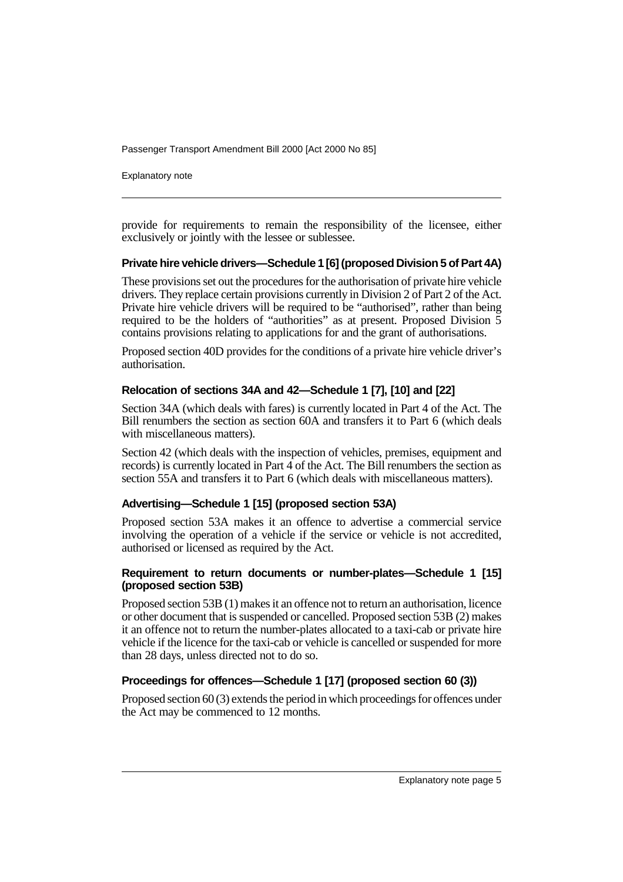Explanatory note

provide for requirements to remain the responsibility of the licensee, either exclusively or jointly with the lessee or sublessee.

#### **Private hire vehicle drivers—Schedule 1 [6] (proposed Division 5 of Part 4A)**

These provisions set out the procedures for the authorisation of private hire vehicle drivers. They replace certain provisions currently in Division 2 of Part 2 of the Act. Private hire vehicle drivers will be required to be "authorised", rather than being required to be the holders of "authorities" as at present. Proposed Division 5 contains provisions relating to applications for and the grant of authorisations.

Proposed section 40D provides for the conditions of a private hire vehicle driver's authorisation.

#### **Relocation of sections 34A and 42—Schedule 1 [7], [10] and [22]**

Section 34A (which deals with fares) is currently located in Part 4 of the Act. The Bill renumbers the section as section 60A and transfers it to Part 6 (which deals with miscellaneous matters).

Section 42 (which deals with the inspection of vehicles, premises, equipment and records) is currently located in Part 4 of the Act. The Bill renumbers the section as section 55A and transfers it to Part 6 (which deals with miscellaneous matters).

#### **Advertising—Schedule 1 [15] (proposed section 53A)**

Proposed section 53A makes it an offence to advertise a commercial service involving the operation of a vehicle if the service or vehicle is not accredited, authorised or licensed as required by the Act.

#### **Requirement to return documents or number-plates—Schedule 1 [15] (proposed section 53B)**

Proposed section 53B (1) makes it an offence not to return an authorisation, licence or other document that is suspended or cancelled. Proposed section 53B (2) makes it an offence not to return the number-plates allocated to a taxi-cab or private hire vehicle if the licence for the taxi-cab or vehicle is cancelled or suspended for more than 28 days, unless directed not to do so.

#### **Proceedings for offences—Schedule 1 [17] (proposed section 60 (3))**

Proposed section 60 (3) extends the period in which proceedings for offences under the Act may be commenced to 12 months.